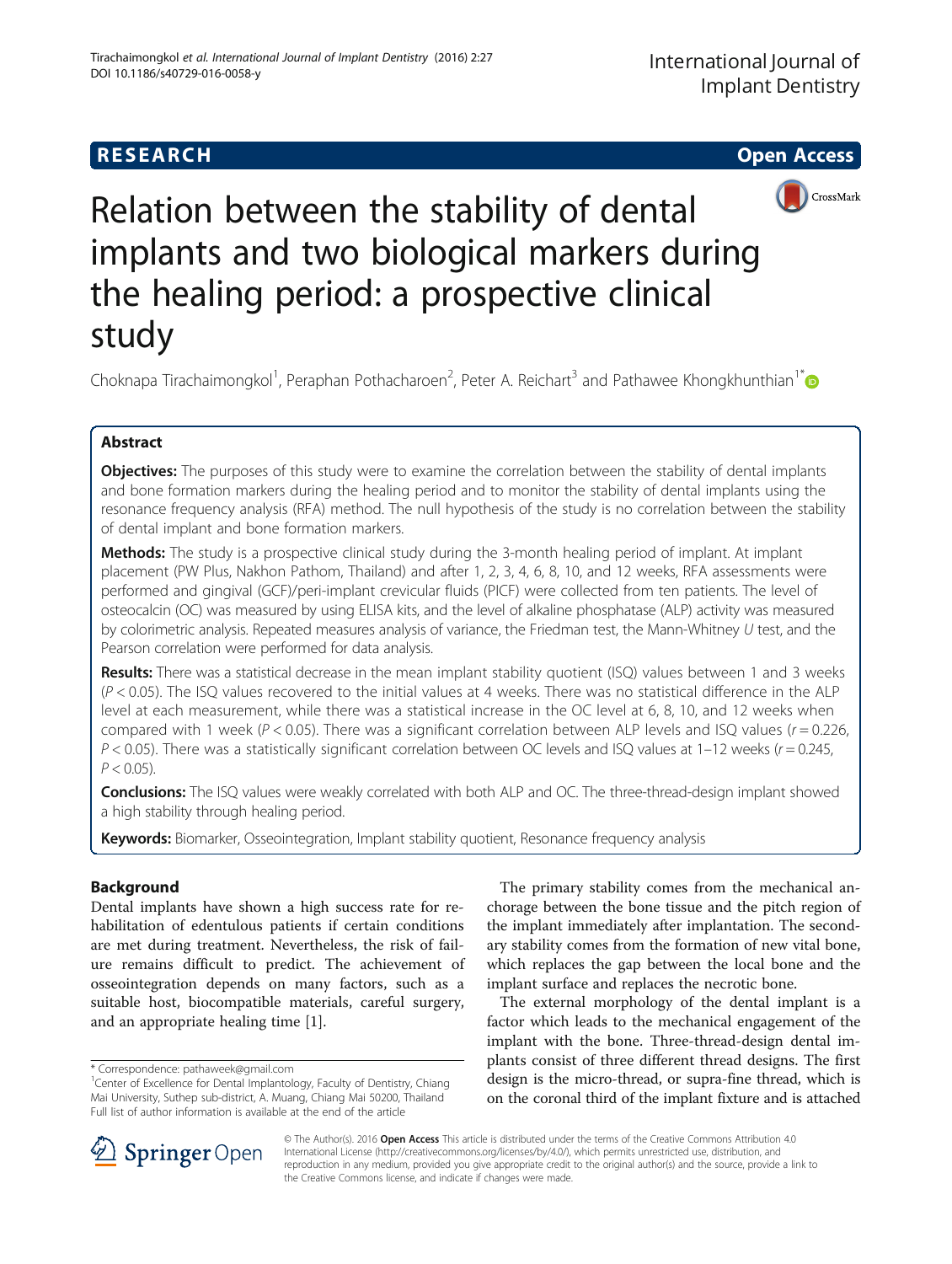



# Relation between the stability of dental implants and two biological markers during the healing period: a prospective clinical study

Choknapa Tirachaimongkol<sup>1</sup>, Peraphan Pothacharoen<sup>2</sup>, Peter A. Reichart<sup>3</sup> and Pathawee Khongkhunthian<sup>1\*</sup>

# Abstract

Objectives: The purposes of this study were to examine the correlation between the stability of dental implants and bone formation markers during the healing period and to monitor the stability of dental implants using the resonance frequency analysis (RFA) method. The null hypothesis of the study is no correlation between the stability of dental implant and bone formation markers.

Methods: The study is a prospective clinical study during the 3-month healing period of implant. At implant placement (PW Plus, Nakhon Pathom, Thailand) and after 1, 2, 3, 4, 6, 8, 10, and 12 weeks, RFA assessments were performed and gingival (GCF)/peri-implant crevicular fluids (PICF) were collected from ten patients. The level of osteocalcin (OC) was measured by using ELISA kits, and the level of alkaline phosphatase (ALP) activity was measured by colorimetric analysis. Repeated measures analysis of variance, the Friedman test, the Mann-Whitney U test, and the Pearson correlation were performed for data analysis.

Results: There was a statistical decrease in the mean implant stability quotient (ISQ) values between 1 and 3 weeks  $(P < 0.05)$ . The ISQ values recovered to the initial values at 4 weeks. There was no statistical difference in the ALP level at each measurement, while there was a statistical increase in the OC level at 6, 8, 10, and 12 weeks when compared with 1 week ( $P < 0.05$ ). There was a significant correlation between ALP levels and ISQ values ( $r = 0.226$ ,  $P < 0.05$ ). There was a statistically significant correlation between OC levels and ISQ values at 1–12 weeks ( $r = 0.245$ ,  $P < 0.05$ ).

Conclusions: The ISQ values were weakly correlated with both ALP and OC. The three-thread-design implant showed a high stability through healing period.

Keywords: Biomarker, Osseointegration, Implant stability quotient, Resonance frequency analysis

# Background

Dental implants have shown a high success rate for rehabilitation of edentulous patients if certain conditions are met during treatment. Nevertheless, the risk of failure remains difficult to predict. The achievement of osseointegration depends on many factors, such as a suitable host, biocompatible materials, careful surgery, and an appropriate healing time [\[1](#page-9-0)].

The primary stability comes from the mechanical anchorage between the bone tissue and the pitch region of the implant immediately after implantation. The secondary stability comes from the formation of new vital bone, which replaces the gap between the local bone and the implant surface and replaces the necrotic bone.

The external morphology of the dental implant is a factor which leads to the mechanical engagement of the implant with the bone. Three-thread-design dental implants consist of three different thread designs. The first design is the micro-thread, or supra-fine thread, which is on the coronal third of the implant fixture and is attached



© The Author(s). 2016 Open Access This article is distributed under the terms of the Creative Commons Attribution 4.0 International License ([http://creativecommons.org/licenses/by/4.0/\)](http://creativecommons.org/licenses/by/4.0/), which permits unrestricted use, distribution, and reproduction in any medium, provided you give appropriate credit to the original author(s) and the source, provide a link to the Creative Commons license, and indicate if changes were made.

<sup>\*</sup> Correspondence: [pathaweek@gmail.com](mailto:pathaweek@gmail.com) <sup>1</sup>

<sup>&</sup>lt;sup>1</sup>Center of Excellence for Dental Implantology, Faculty of Dentistry, Chiang Mai University, Suthep sub-district, A. Muang, Chiang Mai 50200, Thailand Full list of author information is available at the end of the article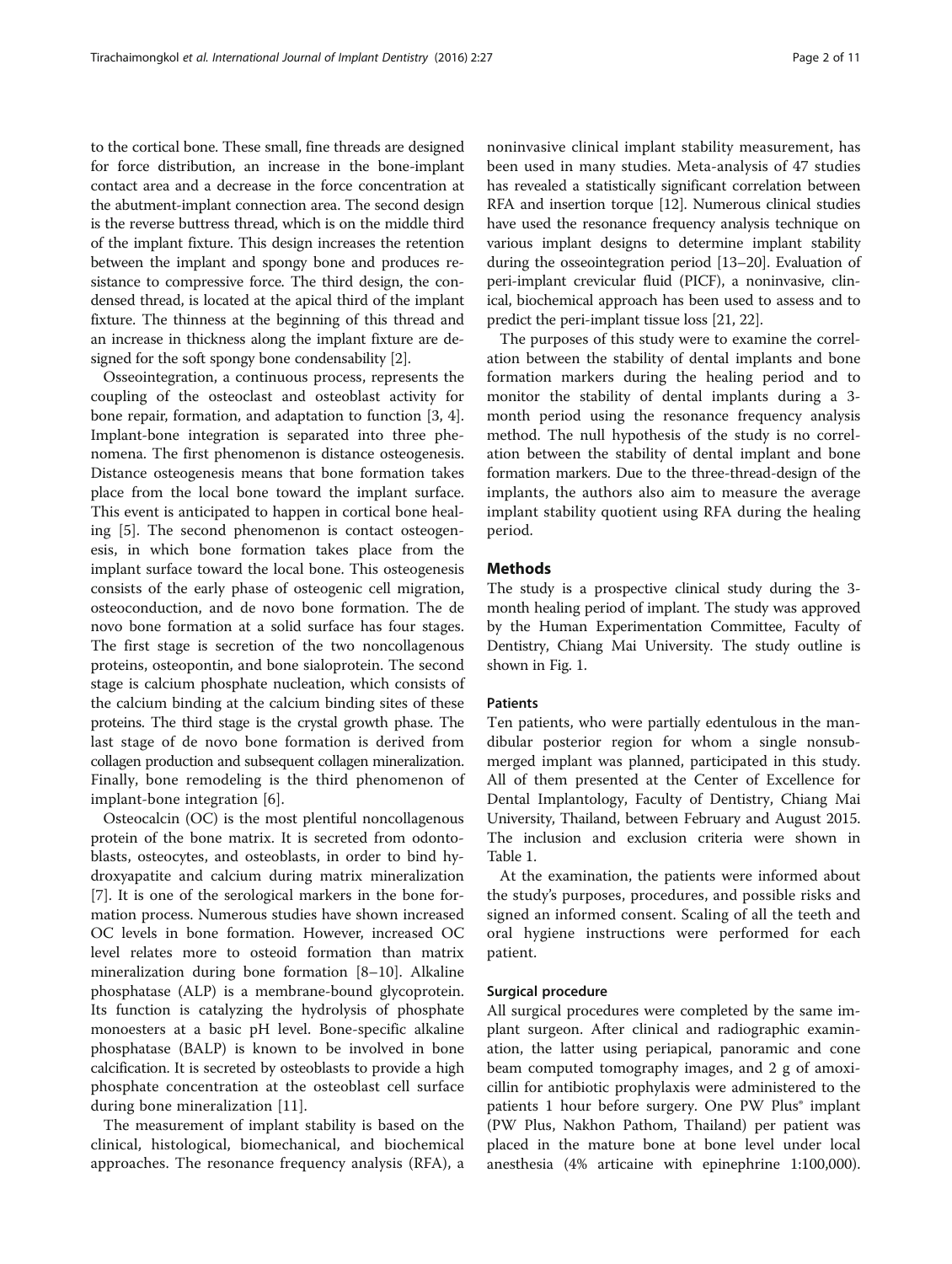to the cortical bone. These small, fine threads are designed for force distribution, an increase in the bone-implant contact area and a decrease in the force concentration at the abutment-implant connection area. The second design is the reverse buttress thread, which is on the middle third of the implant fixture. This design increases the retention between the implant and spongy bone and produces resistance to compressive force. The third design, the condensed thread, is located at the apical third of the implant fixture. The thinness at the beginning of this thread and an increase in thickness along the implant fixture are designed for the soft spongy bone condensability [\[2](#page-9-0)].

Osseointegration, a continuous process, represents the coupling of the osteoclast and osteoblast activity for bone repair, formation, and adaptation to function [\[3](#page-9-0), [4](#page-9-0)]. Implant-bone integration is separated into three phenomena. The first phenomenon is distance osteogenesis. Distance osteogenesis means that bone formation takes place from the local bone toward the implant surface. This event is anticipated to happen in cortical bone healing [\[5](#page-9-0)]. The second phenomenon is contact osteogenesis, in which bone formation takes place from the implant surface toward the local bone. This osteogenesis consists of the early phase of osteogenic cell migration, osteoconduction, and de novo bone formation. The de novo bone formation at a solid surface has four stages. The first stage is secretion of the two noncollagenous proteins, osteopontin, and bone sialoprotein. The second stage is calcium phosphate nucleation, which consists of the calcium binding at the calcium binding sites of these proteins. The third stage is the crystal growth phase. The last stage of de novo bone formation is derived from collagen production and subsequent collagen mineralization. Finally, bone remodeling is the third phenomenon of implant-bone integration [[6\]](#page-9-0).

Osteocalcin (OC) is the most plentiful noncollagenous protein of the bone matrix. It is secreted from odontoblasts, osteocytes, and osteoblasts, in order to bind hydroxyapatite and calcium during matrix mineralization [[7\]](#page-9-0). It is one of the serological markers in the bone formation process. Numerous studies have shown increased OC levels in bone formation. However, increased OC level relates more to osteoid formation than matrix mineralization during bone formation [[8](#page-9-0)–[10\]](#page-9-0). Alkaline phosphatase (ALP) is a membrane-bound glycoprotein. Its function is catalyzing the hydrolysis of phosphate monoesters at a basic pH level. Bone-specific alkaline phosphatase (BALP) is known to be involved in bone calcification. It is secreted by osteoblasts to provide a high phosphate concentration at the osteoblast cell surface during bone mineralization [[11\]](#page-9-0).

The measurement of implant stability is based on the clinical, histological, biomechanical, and biochemical approaches. The resonance frequency analysis (RFA), a noninvasive clinical implant stability measurement, has been used in many studies. Meta-analysis of 47 studies has revealed a statistically significant correlation between RFA and insertion torque [\[12](#page-9-0)]. Numerous clinical studies have used the resonance frequency analysis technique on various implant designs to determine implant stability during the osseointegration period [[13](#page-9-0)–[20\]](#page-9-0). Evaluation of peri-implant crevicular fluid (PICF), a noninvasive, clinical, biochemical approach has been used to assess and to predict the peri-implant tissue loss [\[21](#page-10-0), [22](#page-10-0)].

The purposes of this study were to examine the correlation between the stability of dental implants and bone formation markers during the healing period and to monitor the stability of dental implants during a 3 month period using the resonance frequency analysis method. The null hypothesis of the study is no correlation between the stability of dental implant and bone formation markers. Due to the three-thread-design of the implants, the authors also aim to measure the average implant stability quotient using RFA during the healing period.

# Methods

The study is a prospective clinical study during the 3 month healing period of implant. The study was approved by the Human Experimentation Committee, Faculty of Dentistry, Chiang Mai University. The study outline is shown in Fig. [1](#page-2-0).

# **Patients**

Ten patients, who were partially edentulous in the mandibular posterior region for whom a single nonsubmerged implant was planned, participated in this study. All of them presented at the Center of Excellence for Dental Implantology, Faculty of Dentistry, Chiang Mai University, Thailand, between February and August 2015. The inclusion and exclusion criteria were shown in Table [1.](#page-2-0)

At the examination, the patients were informed about the study's purposes, procedures, and possible risks and signed an informed consent. Scaling of all the teeth and oral hygiene instructions were performed for each patient.

### Surgical procedure

All surgical procedures were completed by the same implant surgeon. After clinical and radiographic examination, the latter using periapical, panoramic and cone beam computed tomography images, and 2 g of amoxicillin for antibiotic prophylaxis were administered to the patients 1 hour before surgery. One PW Plus® implant (PW Plus, Nakhon Pathom, Thailand) per patient was placed in the mature bone at bone level under local anesthesia (4% articaine with epinephrine 1:100,000).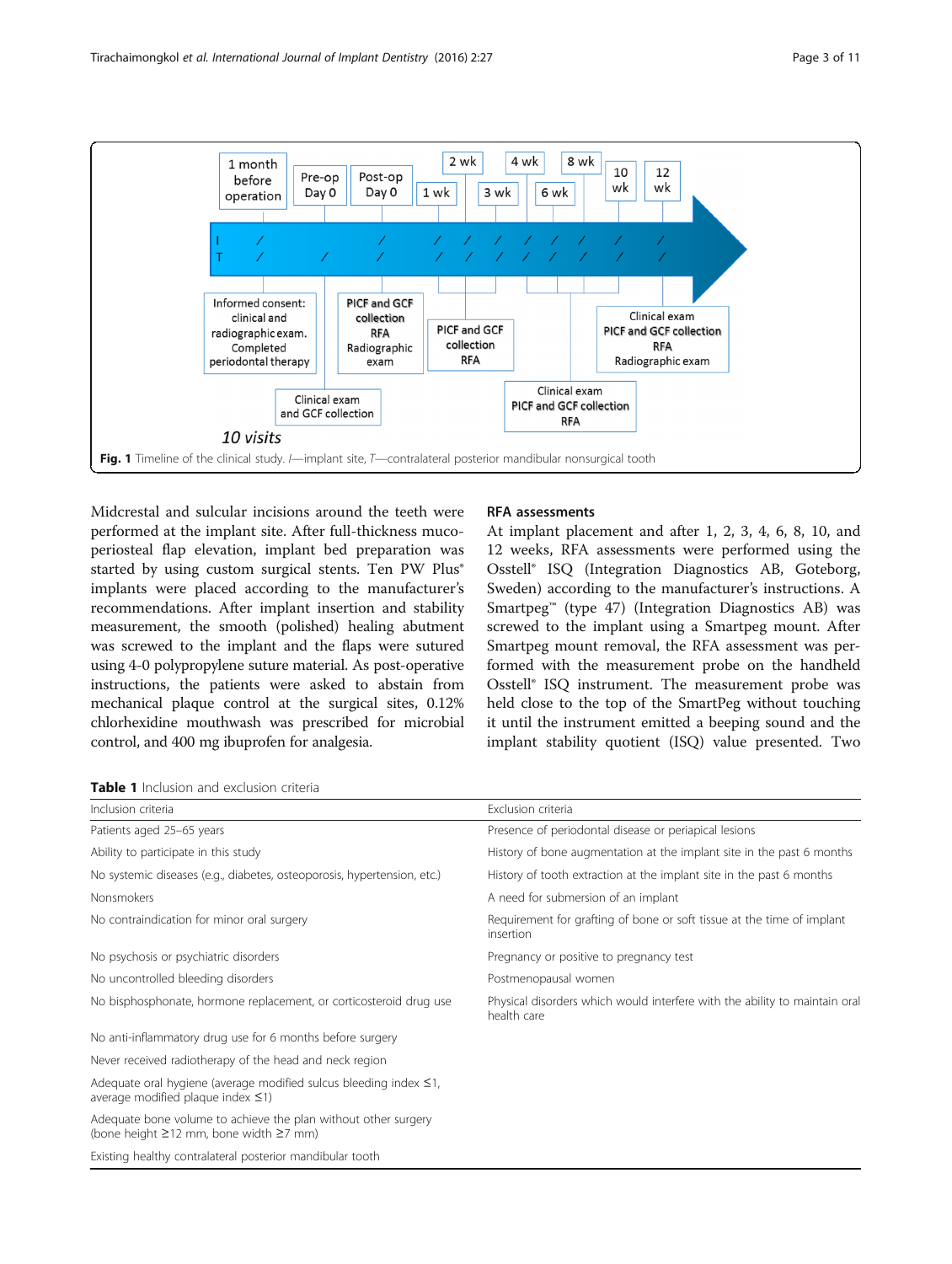<span id="page-2-0"></span>

Midcrestal and sulcular incisions around the teeth were performed at the implant site. After full-thickness mucoperiosteal flap elevation, implant bed preparation was started by using custom surgical stents. Ten PW Plus® implants were placed according to the manufacturer's recommendations. After implant insertion and stability measurement, the smooth (polished) healing abutment was screwed to the implant and the flaps were sutured using 4-0 polypropylene suture material. As post-operative instructions, the patients were asked to abstain from mechanical plaque control at the surgical sites, 0.12% chlorhexidine mouthwash was prescribed for microbial control, and 400 mg ibuprofen for analgesia.

#### RFA assessments

At implant placement and after 1, 2, 3, 4, 6, 8, 10, and 12 weeks, RFA assessments were performed using the Osstell® ISQ (Integration Diagnostics AB, Goteborg, Sweden) according to the manufacturer's instructions. A Smartpeg<sup>™</sup> (type 47) (Integration Diagnostics AB) was screwed to the implant using a Smartpeg mount. After Smartpeg mount removal, the RFA assessment was performed with the measurement probe on the handheld Osstell® ISQ instrument. The measurement probe was held close to the top of the SmartPeg without touching it until the instrument emitted a beeping sound and the implant stability quotient (ISQ) value presented. Two

| Inclusion criteria                                                                                                   | Exclusion criteria                                                                        |
|----------------------------------------------------------------------------------------------------------------------|-------------------------------------------------------------------------------------------|
| Patients aged 25-65 years                                                                                            | Presence of periodontal disease or periapical lesions                                     |
| Ability to participate in this study                                                                                 | History of bone augmentation at the implant site in the past 6 months                     |
| No systemic diseases (e.g., diabetes, osteoporosis, hypertension, etc.)                                              | History of tooth extraction at the implant site in the past 6 months                      |
| Nonsmokers                                                                                                           | A need for submersion of an implant                                                       |
| No contraindication for minor oral surgery                                                                           | Requirement for grafting of bone or soft tissue at the time of implant<br>insertion       |
| No psychosis or psychiatric disorders                                                                                | Pregnancy or positive to pregnancy test                                                   |
| No uncontrolled bleeding disorders                                                                                   | Postmenopausal women                                                                      |
| No bisphosphonate, hormone replacement, or corticosteroid drug use                                                   | Physical disorders which would interfere with the ability to maintain oral<br>health care |
| No anti-inflammatory drug use for 6 months before surgery                                                            |                                                                                           |
| Never received radiotherapy of the head and neck region                                                              |                                                                                           |
| Adequate oral hygiene (average modified sulcus bleeding index $\leq 1$ ,<br>average modified plaque index $\leq$ 1)  |                                                                                           |
| Adequate bone volume to achieve the plan without other surgery<br>(bone height $\geq$ 12 mm, bone width $\geq$ 7 mm) |                                                                                           |
| Existing healthy contralateral posterior mandibular tooth                                                            |                                                                                           |

Table 1 Inclusion and exclusion criteria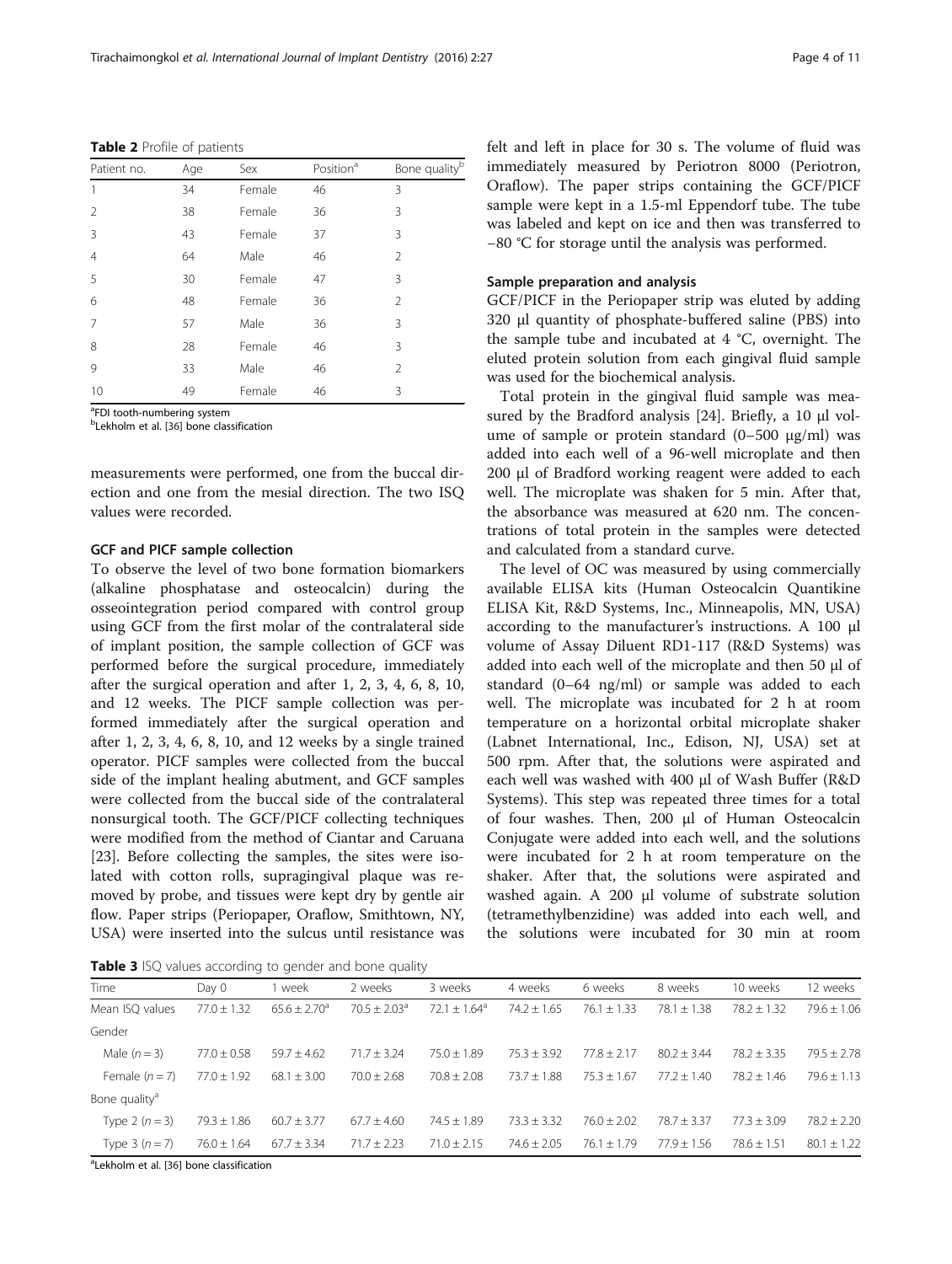<span id="page-3-0"></span>Table 2 Profile of patients

| Patient no.    | Age | Sex    | Position <sup>a</sup> | Bone quality <sup>b</sup> |
|----------------|-----|--------|-----------------------|---------------------------|
| 1              | 34  | Female | 46                    | 3                         |
| $\overline{2}$ | 38  | Female | 36                    | 3                         |
| $\overline{3}$ | 43  | Female | 37                    | 3                         |
| $\overline{4}$ | 64  | Male   | 46                    | 2                         |
| 5              | 30  | Female | 47                    | 3                         |
| 6              | 48  | Female | 36                    | 2                         |
| 7              | 57  | Male   | 36                    | 3                         |
| 8              | 28  | Female | 46                    | 3                         |
| 9              | 33  | Male   | 46                    | 2                         |
| 10             | 49  | Female | 46                    | 3                         |

<sup>a</sup>FDI tooth-numbering system

b Lekholm et al. [\[36](#page-10-0)] bone classification

measurements were performed, one from the buccal direction and one from the mesial direction. The two ISQ values were recorded.

# GCF and PICF sample collection

To observe the level of two bone formation biomarkers (alkaline phosphatase and osteocalcin) during the osseointegration period compared with control group using GCF from the first molar of the contralateral side of implant position, the sample collection of GCF was performed before the surgical procedure, immediately after the surgical operation and after 1, 2, 3, 4, 6, 8, 10, and 12 weeks. The PICF sample collection was performed immediately after the surgical operation and after 1, 2, 3, 4, 6, 8, 10, and 12 weeks by a single trained operator. PICF samples were collected from the buccal side of the implant healing abutment, and GCF samples were collected from the buccal side of the contralateral nonsurgical tooth. The GCF/PICF collecting techniques were modified from the method of Ciantar and Caruana [[23\]](#page-10-0). Before collecting the samples, the sites were isolated with cotton rolls, supragingival plaque was removed by probe, and tissues were kept dry by gentle air flow. Paper strips (Periopaper, Oraflow, Smithtown, NY, USA) were inserted into the sulcus until resistance was

felt and left in place for 30 s. The volume of fluid was immediately measured by Periotron 8000 (Periotron, Oraflow). The paper strips containing the GCF/PICF sample were kept in a 1.5-ml Eppendorf tube. The tube was labeled and kept on ice and then was transferred to −80 °C for storage until the analysis was performed.

# Sample preparation and analysis

GCF/PICF in the Periopaper strip was eluted by adding 320 μl quantity of phosphate-buffered saline (PBS) into the sample tube and incubated at 4 °C, overnight. The eluted protein solution from each gingival fluid sample was used for the biochemical analysis.

Total protein in the gingival fluid sample was measured by the Bradford analysis [[24](#page-10-0)]. Briefly, a 10 μl volume of sample or protein standard (0–500 μg/ml) was added into each well of a 96-well microplate and then 200 μl of Bradford working reagent were added to each well. The microplate was shaken for 5 min. After that, the absorbance was measured at 620 nm. The concentrations of total protein in the samples were detected and calculated from a standard curve.

The level of OC was measured by using commercially available ELISA kits (Human Osteocalcin Quantikine ELISA Kit, R&D Systems, Inc., Minneapolis, MN, USA) according to the manufacturer's instructions. A 100 μl volume of Assay Diluent RD1-117 (R&D Systems) was added into each well of the microplate and then 50 μl of standard (0–64 ng/ml) or sample was added to each well. The microplate was incubated for 2 h at room temperature on a horizontal orbital microplate shaker (Labnet International, Inc., Edison, NJ, USA) set at 500 rpm. After that, the solutions were aspirated and each well was washed with 400 μl of Wash Buffer (R&D Systems). This step was repeated three times for a total of four washes. Then, 200 μl of Human Osteocalcin Conjugate were added into each well, and the solutions were incubated for 2 h at room temperature on the shaker. After that, the solutions were aspirated and washed again. A 200 μl volume of substrate solution (tetramethylbenzidine) was added into each well, and the solutions were incubated for 30 min at room

Table 3 ISQ values according to gender and bone quality

| <b>Table 3</b> DQ values according to genuer and bone quality |                              |                              |                            |                 |                 |                 |                 |                 |
|---------------------------------------------------------------|------------------------------|------------------------------|----------------------------|-----------------|-----------------|-----------------|-----------------|-----------------|
| Day 0                                                         | 1 week                       | 2 weeks                      | 3 weeks                    | 4 weeks         | 6 weeks         | 8 weeks         | 10 weeks        | 12 weeks        |
| $77.0 \pm 1.32$                                               | $65.6 \pm 2.70$ <sup>a</sup> | $70.5 \pm 2.03$ <sup>a</sup> | $72.1 + 1.64$ <sup>a</sup> | $74.2 + 1.65$   | $76.1 \pm 1.33$ | $78.1 \pm 1.38$ | $78.2 + 1.32$   | $79.6 \pm 1.06$ |
|                                                               |                              |                              |                            |                 |                 |                 |                 |                 |
| $77.0 \pm 0.58$                                               | $59.7 + 4.62$                | $71.7 + 3.24$                | $75.0 + 1.89$              | $75.3 + 3.92$   | $77.8 + 2.17$   | $80.2 + 3.44$   | $78.2 \pm 3.35$ | $79.5 \pm 2.78$ |
| $77.0 + 1.92$                                                 | $68.1 + 3.00$                | $70.0 + 2.68$                | $70.8 + 2.08$              | $73.7 + 1.88$   | $75.3 + 1.67$   | $77.2 + 1.40$   | $78.2 + 1.46$   | $79.6 \pm 1.13$ |
|                                                               |                              |                              |                            |                 |                 |                 |                 |                 |
| $79.3 \pm 1.86$                                               | $60.7 \pm 3.77$              | $67.7 + 4.60$                | $74.5 + 1.89$              | $73.3 + 3.32$   | $76.0 + 2.02$   | $78.7 + 3.37$   | $77.3 + 3.09$   | $78.2 \pm 2.20$ |
| $76.0 \pm 1.64$                                               | $67.7 \pm 3.34$              | $71.7 \pm 2.23$              | $71.0 \pm 2.15$            | $74.6 \pm 2.05$ | $76.1 + 1.79$   | $77.9 + 1.56$   | $78.6 + 1.51$   | $80.1 \pm 1.22$ |
|                                                               |                              |                              |                            |                 |                 |                 |                 |                 |

<sup>a</sup>Lekholm et al. [[36\]](#page-10-0) bone classification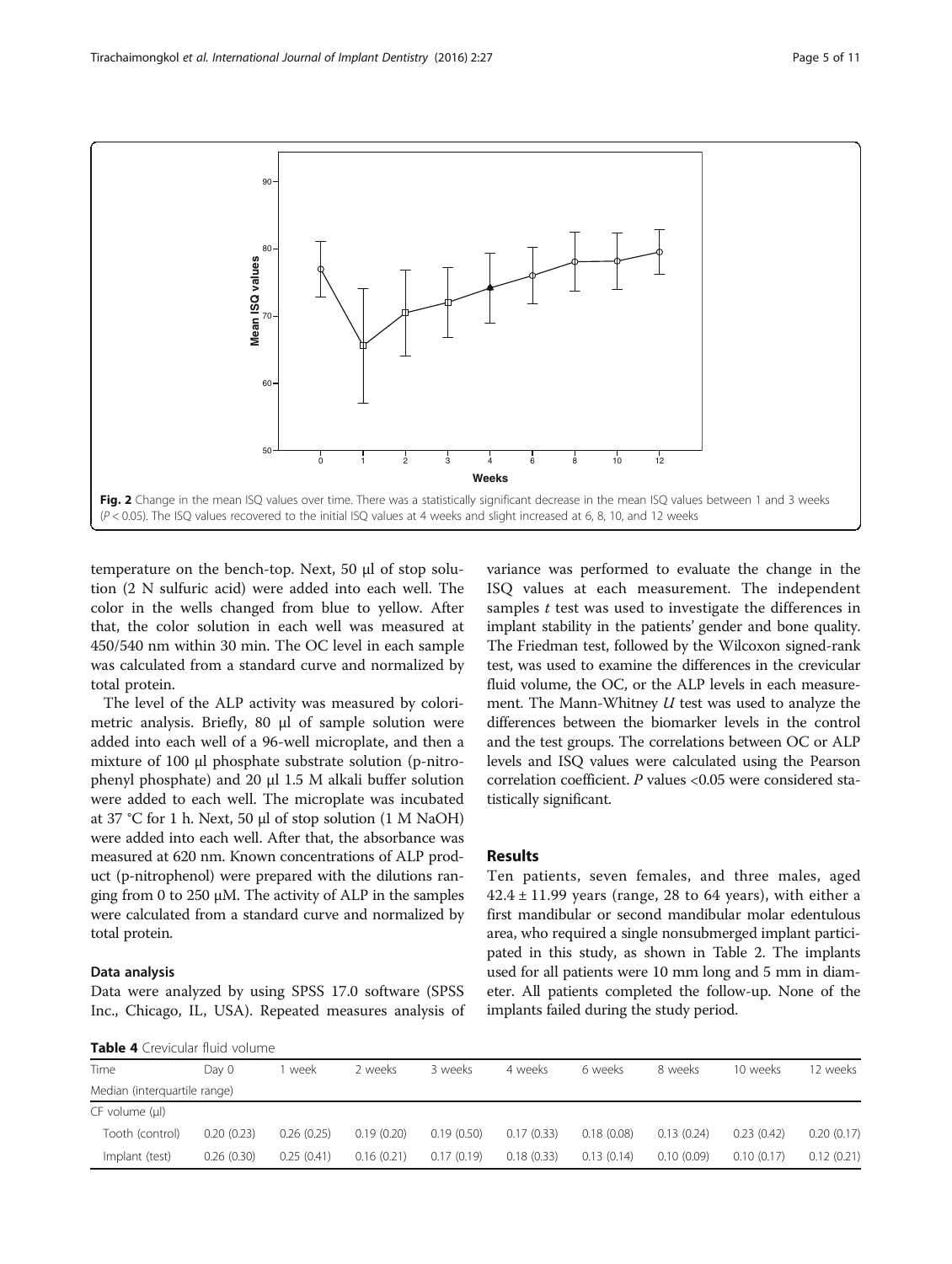<span id="page-4-0"></span>

temperature on the bench-top. Next, 50 μl of stop solution (2 N sulfuric acid) were added into each well. The color in the wells changed from blue to yellow. After that, the color solution in each well was measured at 450/540 nm within 30 min. The OC level in each sample was calculated from a standard curve and normalized by total protein.

The level of the ALP activity was measured by colorimetric analysis. Briefly, 80 μl of sample solution were added into each well of a 96-well microplate, and then a mixture of 100 μl phosphate substrate solution (p-nitrophenyl phosphate) and 20 μl 1.5 M alkali buffer solution were added to each well. The microplate was incubated at 37 °C for 1 h. Next, 50 μl of stop solution (1 M NaOH) were added into each well. After that, the absorbance was measured at 620 nm. Known concentrations of ALP product (p-nitrophenol) were prepared with the dilutions ranging from 0 to 250 μM. The activity of ALP in the samples were calculated from a standard curve and normalized by total protein.

#### Data analysis

Data were analyzed by using SPSS 17.0 software (SPSS Inc., Chicago, IL, USA). Repeated measures analysis of variance was performed to evaluate the change in the ISQ values at each measurement. The independent samples t test was used to investigate the differences in implant stability in the patients' gender and bone quality. The Friedman test, followed by the Wilcoxon signed-rank test, was used to examine the differences in the crevicular fluid volume, the OC, or the ALP levels in each measurement. The Mann-Whitney *U* test was used to analyze the differences between the biomarker levels in the control and the test groups. The correlations between OC or ALP levels and ISQ values were calculated using the Pearson correlation coefficient. P values <0.05 were considered statistically significant.

# Results

Ten patients, seven females, and three males, aged  $42.4 \pm 11.99$  years (range, 28 to 64 years), with either a first mandibular or second mandibular molar edentulous area, who required a single nonsubmerged implant participated in this study, as shown in Table [2.](#page-3-0) The implants used for all patients were 10 mm long and 5 mm in diameter. All patients completed the follow-up. None of the implants failed during the study period.

Table 4 Crevicular fluid volume

| <b>TUDIC T</b> CICVICUM TIUM VOIUTTE |            |            |            |            |            |            |            |            |            |
|--------------------------------------|------------|------------|------------|------------|------------|------------|------------|------------|------------|
| Time                                 | Dav 0      | week       | 2 weeks    | 3 weeks    | 4 weeks    | 6 weeks    | 8 weeks    | 10 weeks   | 12 weeks   |
| Median (interquartile range)         |            |            |            |            |            |            |            |            |            |
| CF volume (µl)                       |            |            |            |            |            |            |            |            |            |
| Tooth (control)                      | 0.20(0.23) | 0.26(0.25) | 0.19(0.20) | 0.19(0.50) | 0.17(0.33) | 0.18(0.08) | 0.13(0.24) | 0.23(0.42) | 0.20(0.17) |
| Implant (test)                       | 0.26(0.30) | 0.25(0.41) | 0.16(0.21) | 0.17(0.19) | 0.18(0.33) | 0.13(0.14) | 0.10(0.09) | 0.10(0.17) | 0.12(0.21) |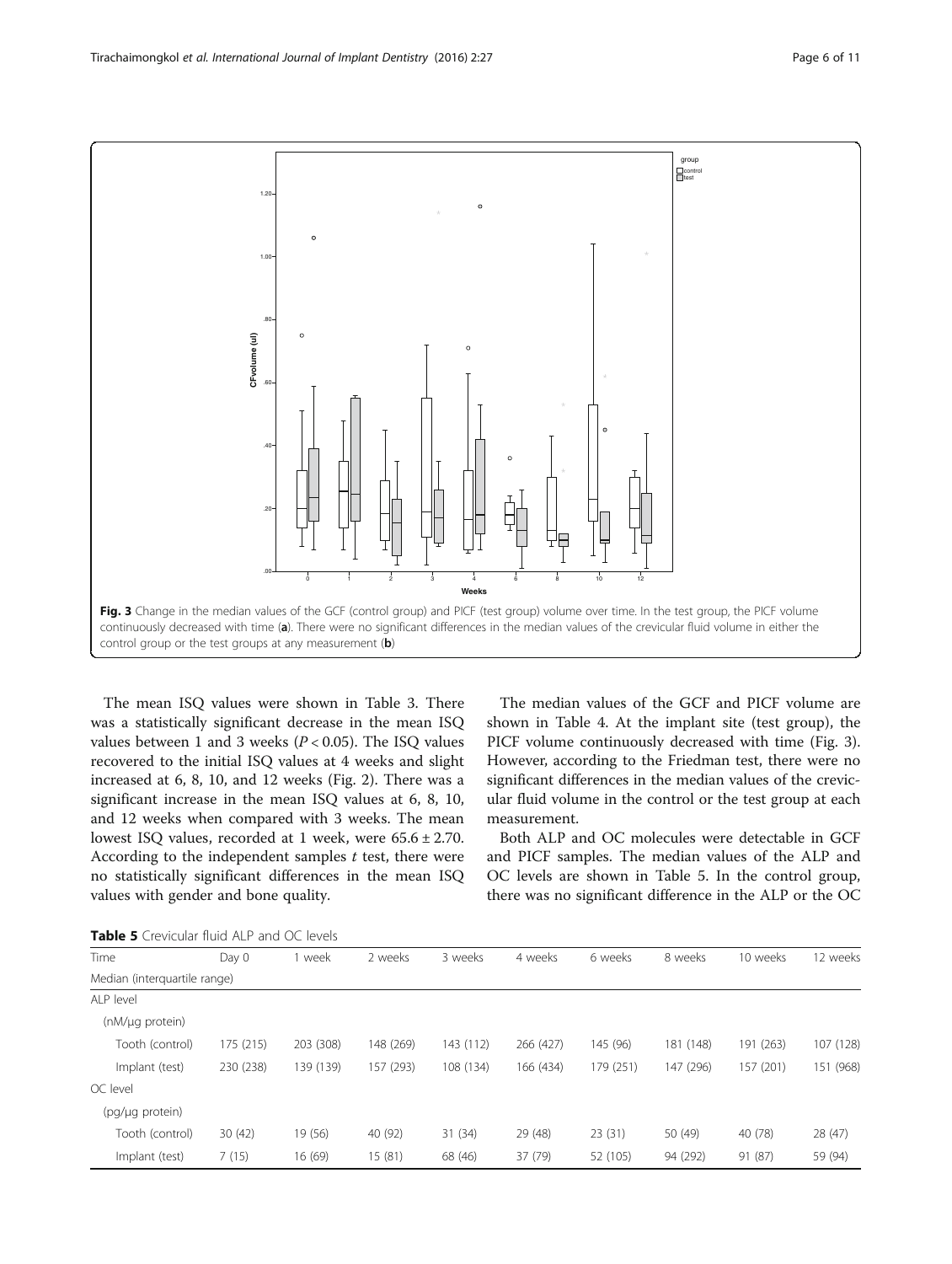

The mean ISQ values were shown in Table [3.](#page-3-0) There was a statistically significant decrease in the mean ISQ values between 1 and 3 weeks ( $P < 0.05$ ). The ISQ values recovered to the initial ISQ values at 4 weeks and slight increased at 6, 8, 10, and 12 weeks (Fig. [2](#page-4-0)). There was a significant increase in the mean ISQ values at 6, 8, 10, and 12 weeks when compared with 3 weeks. The mean lowest ISQ values, recorded at 1 week, were 65.6 ± 2.70. According to the independent samples  $t$  test, there were no statistically significant differences in the mean ISQ values with gender and bone quality.

The median values of the GCF and PICF volume are shown in Table [4.](#page-4-0) At the implant site (test group), the PICF volume continuously decreased with time (Fig. 3). However, according to the Friedman test, there were no significant differences in the median values of the crevicular fluid volume in the control or the test group at each measurement.

Both ALP and OC molecules were detectable in GCF and PICF samples. The median values of the ALP and OC levels are shown in Table 5. In the control group, there was no significant difference in the ALP or the OC

| Time                         | Day 0     | week      | 2 weeks   | 3 weeks   | 4 weeks   | 6 weeks   | 8 weeks   | 10 weeks  | 12 weeks  |
|------------------------------|-----------|-----------|-----------|-----------|-----------|-----------|-----------|-----------|-----------|
| Median (interguartile range) |           |           |           |           |           |           |           |           |           |
| ALP level                    |           |           |           |           |           |           |           |           |           |
| (nM/µg protein)              |           |           |           |           |           |           |           |           |           |
| Tooth (control)              | 175 (215) | 203 (308) | 148 (269) | 143 (112) | 266 (427) | 145 (96)  | 181 (148) | 191 (263) | 107 (128) |
| Implant (test)               | 230 (238) | 139 (139) | 157 (293) | 108 (134) | 166 (434) | 179 (251) | 147 (296) | 157 (201) | 151 (968) |
| OC level                     |           |           |           |           |           |           |           |           |           |
| (pg/µg protein)              |           |           |           |           |           |           |           |           |           |
| Tooth (control)              | 30(42)    | 19 (56)   | 40 (92)   | 31 (34)   | 29 (48)   | 23(31)    | 50 (49)   | 40 (78)   | 28 (47)   |
| Implant (test)               | 7(15)     | 16 (69)   | 15(81)    | 68 (46)   | 37 (79)   | 52 (105)  | 94 (292)  | 91 (87)   | 59 (94)   |
|                              |           |           |           |           |           |           |           |           |           |

Table 5 Crevicular fluid ALP and OC levels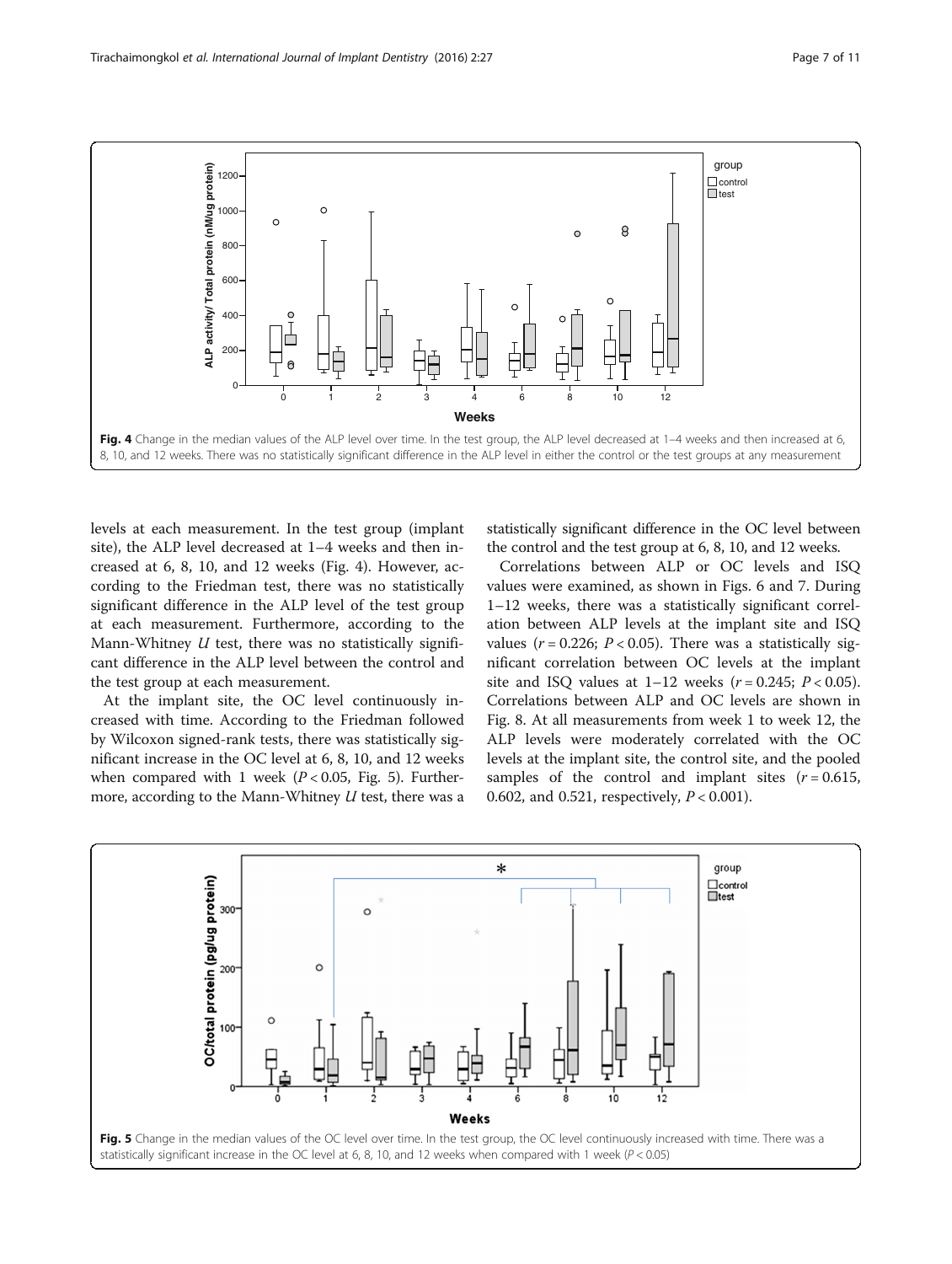

levels at each measurement. In the test group (implant site), the ALP level decreased at 1–4 weeks and then increased at 6, 8, 10, and 12 weeks (Fig. 4). However, according to the Friedman test, there was no statistically significant difference in the ALP level of the test group at each measurement. Furthermore, according to the Mann-Whitney  $U$  test, there was no statistically significant difference in the ALP level between the control and the test group at each measurement.

At the implant site, the OC level continuously increased with time. According to the Friedman followed by Wilcoxon signed-rank tests, there was statistically significant increase in the OC level at 6, 8, 10, and 12 weeks when compared with 1 week  $(P < 0.05$ , Fig. 5). Furthermore, according to the Mann-Whitney U test, there was a statistically significant difference in the OC level between the control and the test group at 6, 8, 10, and 12 weeks.

Correlations between ALP or OC levels and ISQ values were examined, as shown in Figs. [6](#page-7-0) and [7](#page-7-0). During 1–12 weeks, there was a statistically significant correlation between ALP levels at the implant site and ISQ values ( $r = 0.226$ ;  $P < 0.05$ ). There was a statistically significant correlation between OC levels at the implant site and ISO values at  $1-12$  weeks  $(r = 0.245; P < 0.05)$ . Correlations between ALP and OC levels are shown in Fig. [8](#page-8-0). At all measurements from week 1 to week 12, the ALP levels were moderately correlated with the OC levels at the implant site, the control site, and the pooled samples of the control and implant sites  $(r = 0.615,$ 0.602, and 0.521, respectively,  $P < 0.001$ ).

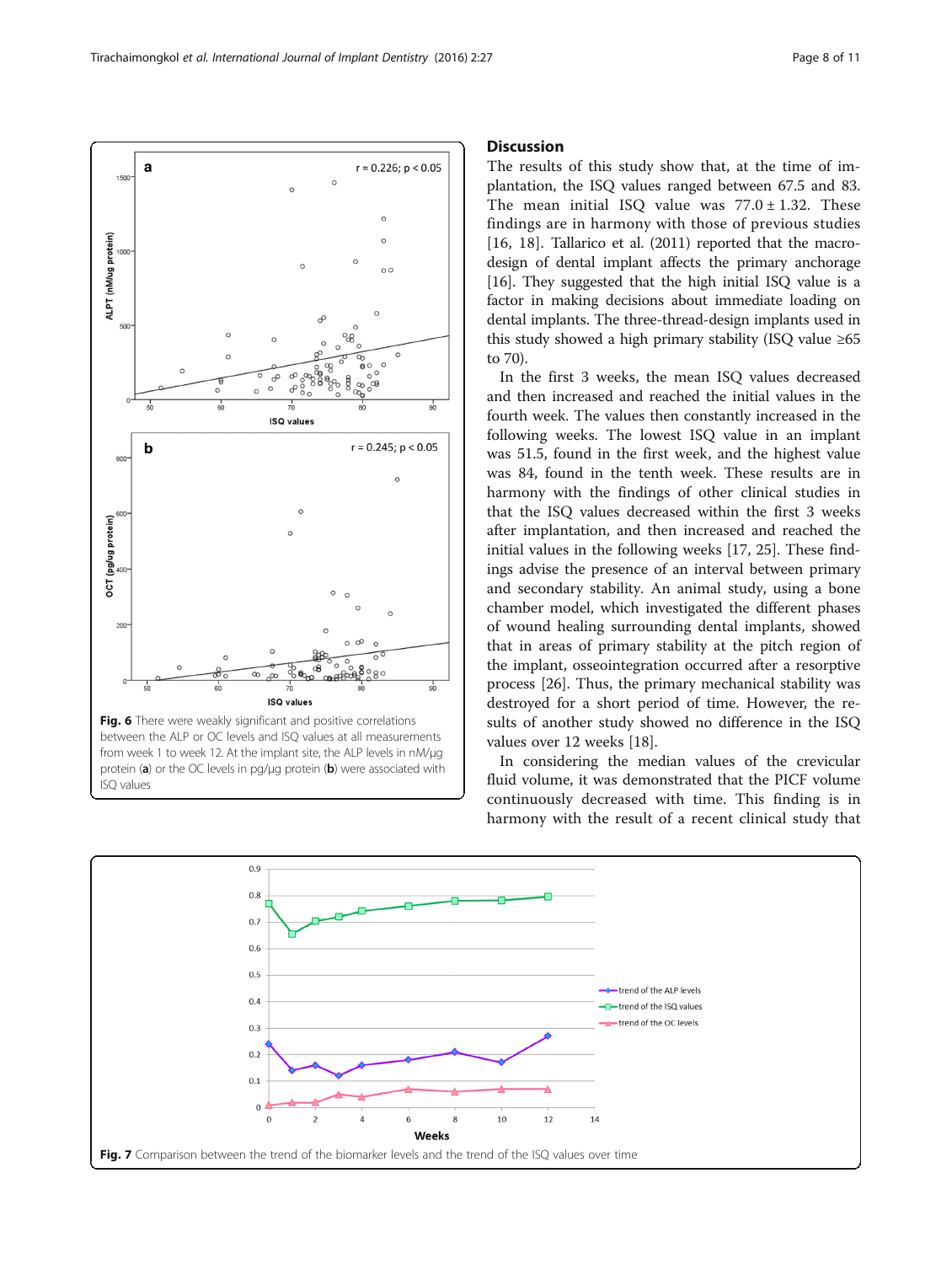Fig. 6 There were weakly significant and positive correlations between the ALP or OC levels and ISQ values at all measurements from week 1 to week 12. At the implant site, the ALP levels in nM/μg protein (a) or the OC levels in pg/μg protein (b) were associated with ISQ values

**ISQ values** 

# **Discussion**

The results of this study show that, at the time of implantation, the ISQ values ranged between 67.5 and 83. The mean initial ISQ value was  $77.0 \pm 1.32$ . These findings are in harmony with those of previous studies [[16](#page-9-0), [18\]](#page-9-0). Tallarico et al. (2011) reported that the macrodesign of dental implant affects the primary anchorage [[16](#page-9-0)]. They suggested that the high initial ISQ value is a factor in making decisions about immediate loading on dental implants. The three-thread-design implants used in this study showed a high primary stability (ISQ value ≥65 to 70).

In the first 3 weeks, the mean ISQ values decreased and then increased and reached the initial values in the fourth week. The values then constantly increased in the following weeks. The lowest ISQ value in an implant was 51.5, found in the first week, and the highest value was 84, found in the tenth week. These results are in harmony with the findings of other clinical studies in that the ISQ values decreased within the first 3 weeks after implantation, and then increased and reached the initial values in the following weeks [\[17,](#page-9-0) [25\]](#page-10-0). These findings advise the presence of an interval between primary and secondary stability. An animal study, using a bone chamber model, which investigated the different phases of wound healing surrounding dental implants, showed that in areas of primary stability at the pitch region of the implant, osseointegration occurred after a resorptive process [[26](#page-10-0)]. Thus, the primary mechanical stability was destroyed for a short period of time. However, the results of another study showed no difference in the ISQ values over 12 weeks [[18](#page-9-0)].

In considering the median values of the crevicular fluid volume, it was demonstrated that the PICF volume continuously decreased with time. This finding is in harmony with the result of a recent clinical study that



œ ൙ ക്  $\circ$ 

ISQ values

 $\circ$ 

œ

 $\sim$ 

 $r = 0.226$ ;  $p < 0.05$ 

 $\circ$ 

 $r = 0.245$ ;  $p < 0.05$ 

 $\circ$ 

a

<span id="page-7-0"></span>150

ALPT (nM/ug protein)

OCT (pg/ug protein)

 $200$ 

50

b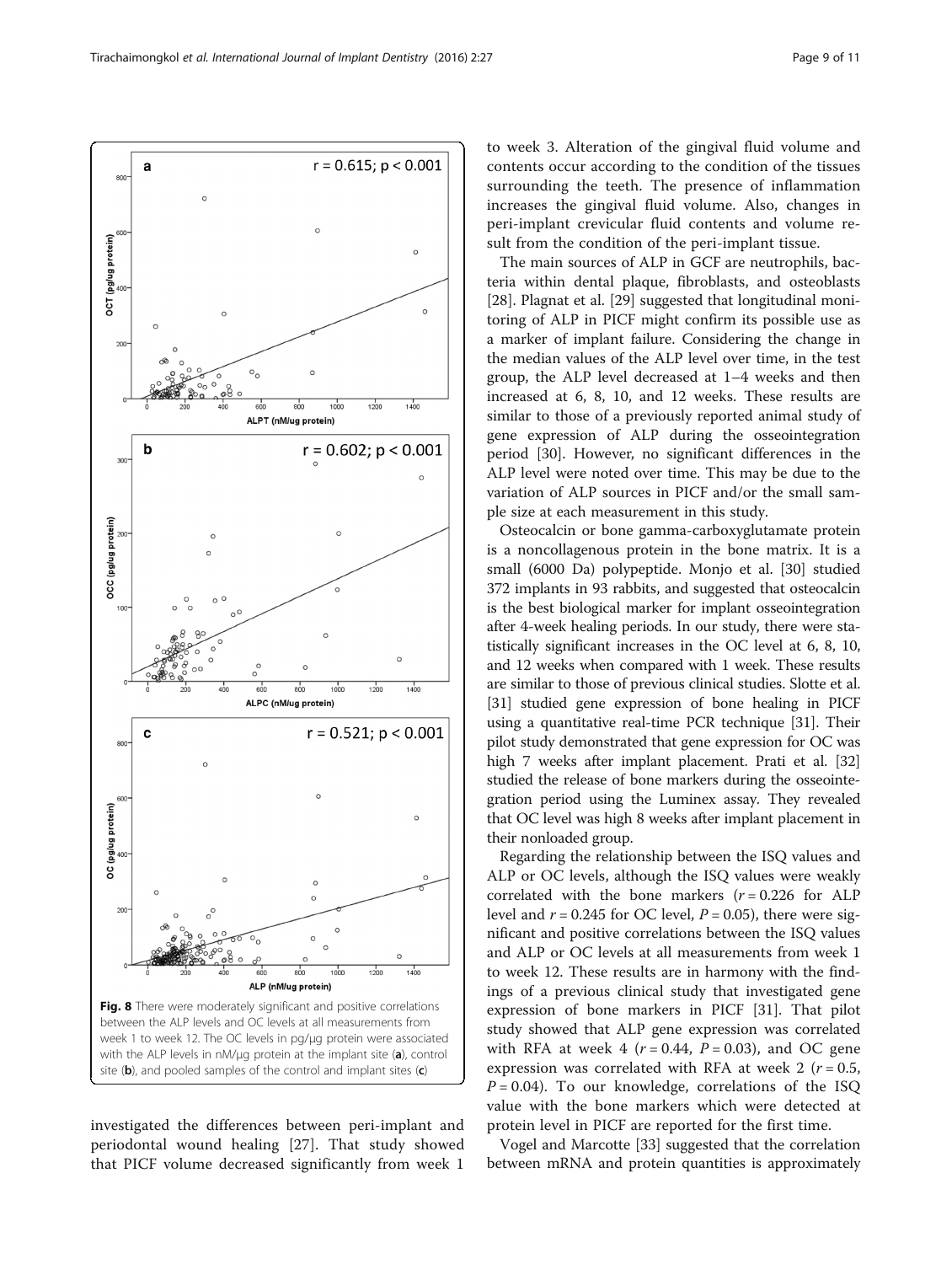investigated the differences between peri-implant and periodontal wound healing [[27\]](#page-10-0). That study showed that PICF volume decreased significantly from week 1

Osteocalcin or bone gamma-carboxyglutamate protein is a noncollagenous protein in the bone matrix. It is a small (6000 Da) polypeptide. Monjo et al. [\[30](#page-10-0)] studied 372 implants in 93 rabbits, and suggested that osteocalcin is the best biological marker for implant osseointegration after 4-week healing periods. In our study, there were statistically significant increases in the OC level at 6, 8, 10, and 12 weeks when compared with 1 week. These results are similar to those of previous clinical studies. Slotte et al. [[31](#page-10-0)] studied gene expression of bone healing in PICF using a quantitative real-time PCR technique [[31](#page-10-0)]. Their pilot study demonstrated that gene expression for OC was high 7 weeks after implant placement. Prati et al. [[32](#page-10-0)] studied the release of bone markers during the osseointegration period using the Luminex assay. They revealed that OC level was high 8 weeks after implant placement in their nonloaded group.

Regarding the relationship between the ISQ values and ALP or OC levels, although the ISQ values were weakly correlated with the bone markers  $(r = 0.226$  for ALP level and  $r = 0.245$  for OC level,  $P = 0.05$ ), there were significant and positive correlations between the ISQ values and ALP or OC levels at all measurements from week 1 to week 12. These results are in harmony with the findings of a previous clinical study that investigated gene expression of bone markers in PICF [\[31](#page-10-0)]. That pilot study showed that ALP gene expression was correlated with RFA at week 4 ( $r = 0.44$ ,  $P = 0.03$ ), and OC gene expression was correlated with RFA at week 2 ( $r = 0.5$ ,  $P = 0.04$ ). To our knowledge, correlations of the ISQ value with the bone markers which were detected at protein level in PICF are reported for the first time.

Vogel and Marcotte [[33\]](#page-10-0) suggested that the correlation between mRNA and protein quantities is approximately

<span id="page-8-0"></span>

to week 3. Alteration of the gingival fluid volume and contents occur according to the condition of the tissues surrounding the teeth. The presence of inflammation increases the gingival fluid volume. Also, changes in peri-implant crevicular fluid contents and volume result from the condition of the peri-implant tissue.

The main sources of ALP in GCF are neutrophils, bacteria within dental plaque, fibroblasts, and osteoblasts [[28\]](#page-10-0). Plagnat et al. [[29](#page-10-0)] suggested that longitudinal monitoring of ALP in PICF might confirm its possible use as a marker of implant failure. Considering the change in the median values of the ALP level over time, in the test group, the ALP level decreased at 1–4 weeks and then increased at 6, 8, 10, and 12 weeks. These results are similar to those of a previously reported animal study of gene expression of ALP during the osseointegration period [[30\]](#page-10-0). However, no significant differences in the ALP level were noted over time. This may be due to the variation of ALP sources in PICF and/or the small sample size at each measurement in this study.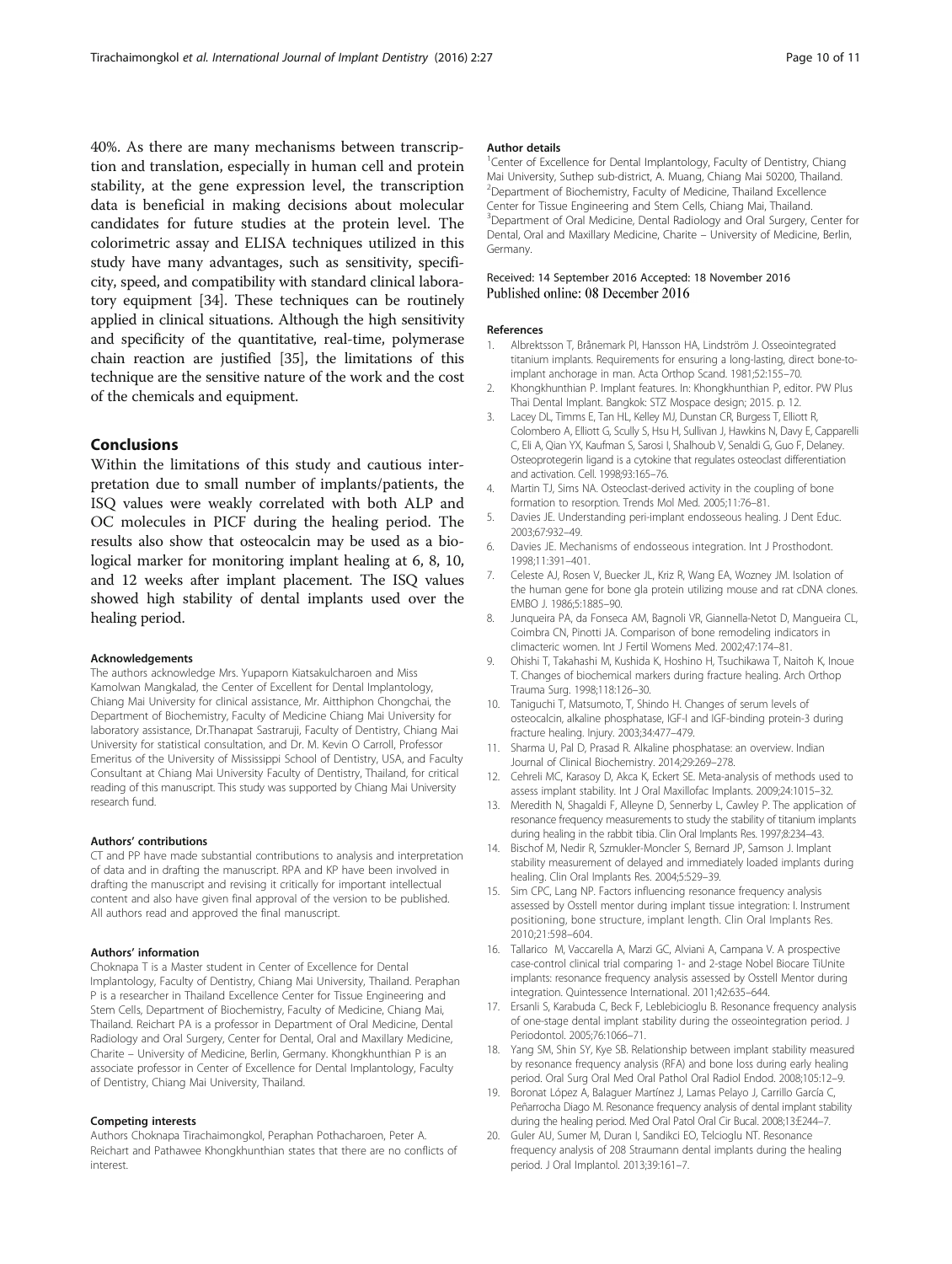<span id="page-9-0"></span>40%. As there are many mechanisms between transcription and translation, especially in human cell and protein stability, at the gene expression level, the transcription data is beneficial in making decisions about molecular candidates for future studies at the protein level. The colorimetric assay and ELISA techniques utilized in this study have many advantages, such as sensitivity, specificity, speed, and compatibility with standard clinical laboratory equipment [[34](#page-10-0)]. These techniques can be routinely applied in clinical situations. Although the high sensitivity and specificity of the quantitative, real-time, polymerase chain reaction are justified [[35\]](#page-10-0), the limitations of this technique are the sensitive nature of the work and the cost of the chemicals and equipment.

# Conclusions

Within the limitations of this study and cautious interpretation due to small number of implants/patients, the ISQ values were weakly correlated with both ALP and OC molecules in PICF during the healing period. The results also show that osteocalcin may be used as a biological marker for monitoring implant healing at 6, 8, 10, and 12 weeks after implant placement. The ISQ values showed high stability of dental implants used over the healing period.

#### Acknowledgements

The authors acknowledge Mrs. Yupaporn Kiatsakulcharoen and Miss Kamolwan Mangkalad, the Center of Excellent for Dental Implantology, Chiang Mai University for clinical assistance, Mr. Aitthiphon Chongchai, the Department of Biochemistry, Faculty of Medicine Chiang Mai University for laboratory assistance, Dr.Thanapat Sastraruji, Faculty of Dentistry, Chiang Mai University for statistical consultation, and Dr. M. Kevin O Carroll, Professor Emeritus of the University of Mississippi School of Dentistry, USA, and Faculty Consultant at Chiang Mai University Faculty of Dentistry, Thailand, for critical reading of this manuscript. This study was supported by Chiang Mai University research fund.

#### Authors' contributions

CT and PP have made substantial contributions to analysis and interpretation of data and in drafting the manuscript. RPA and KP have been involved in drafting the manuscript and revising it critically for important intellectual content and also have given final approval of the version to be published. All authors read and approved the final manuscript.

#### Authors' information

Choknapa T is a Master student in Center of Excellence for Dental Implantology, Faculty of Dentistry, Chiang Mai University, Thailand. Peraphan P is a researcher in Thailand Excellence Center for Tissue Engineering and Stem Cells, Department of Biochemistry, Faculty of Medicine, Chiang Mai, Thailand. Reichart PA is a professor in Department of Oral Medicine, Dental Radiology and Oral Surgery, Center for Dental, Oral and Maxillary Medicine, Charite – University of Medicine, Berlin, Germany. Khongkhunthian P is an associate professor in Center of Excellence for Dental Implantology, Faculty of Dentistry, Chiang Mai University, Thailand.

#### Competing interests

Authors Choknapa Tirachaimongkol, Peraphan Pothacharoen, Peter A. Reichart and Pathawee Khongkhunthian states that there are no conflicts of interest.

#### Author details

<sup>1</sup> Center of Excellence for Dental Implantology, Faculty of Dentistry, Chiang Mai University, Suthep sub-district, A. Muang, Chiang Mai 50200, Thailand. <sup>2</sup>Department of Biochemistry, Faculty of Medicine, Thailand Excellence Center for Tissue Engineering and Stem Cells, Chiang Mai, Thailand. <sup>3</sup>Department of Oral Medicine, Dental Radiology and Oral Surgery, Center for Dental, Oral and Maxillary Medicine, Charite – University of Medicine, Berlin, Germany.

## Received: 14 September 2016 Accepted: 18 November 2016 Published online: 08 December 2016

#### References

- 1. Albrektsson T, Brånemark PI, Hansson HA, Lindström J. Osseointegrated titanium implants. Requirements for ensuring a long-lasting, direct bone-toimplant anchorage in man. Acta Orthop Scand. 1981;52:155–70.
- 2. Khongkhunthian P. Implant features. In: Khongkhunthian P, editor. PW Plus Thai Dental Implant. Bangkok: STZ Mospace design; 2015. p. 12.
- 3. Lacey DL, Timms E, Tan HL, Kelley MJ, Dunstan CR, Burgess T, Elliott R, Colombero A, Elliott G, Scully S, Hsu H, Sullivan J, Hawkins N, Davy E, Capparelli C, Eli A, Qian YX, Kaufman S, Sarosi I, Shalhoub V, Senaldi G, Guo F, Delaney. Osteoprotegerin ligand is a cytokine that regulates osteoclast differentiation and activation. Cell. 1998;93:165–76.
- 4. Martin TJ, Sims NA. Osteoclast-derived activity in the coupling of bone formation to resorption. Trends Mol Med. 2005;11:76–81.
- 5. Davies JE. Understanding peri-implant endosseous healing. J Dent Educ. 2003;67:932–49.
- 6. Davies JE. Mechanisms of endosseous integration. Int J Prosthodont. 1998;11:391–401.
- 7. Celeste AJ, Rosen V, Buecker JL, Kriz R, Wang EA, Wozney JM. Isolation of the human gene for bone gla protein utilizing mouse and rat cDNA clones. EMBO J. 1986;5:1885–90.
- 8. Junqueira PA, da Fonseca AM, Bagnoli VR, Giannella-Netot D, Mangueira CL, Coimbra CN, Pinotti JA. Comparison of bone remodeling indicators in climacteric women. Int J Fertil Womens Med. 2002;47:174–81.
- 9. Ohishi T, Takahashi M, Kushida K, Hoshino H, Tsuchikawa T, Naitoh K, Inoue T. Changes of biochemical markers during fracture healing. Arch Orthop Trauma Surg. 1998;118:126–30.
- 10. Taniguchi T, Matsumoto, T, Shindo H. Changes of serum levels of osteocalcin, alkaline phosphatase, IGF-I and IGF-binding protein-3 during fracture healing. Injury. 2003;34:477–479.
- 11. Sharma U, Pal D, Prasad R. Alkaline phosphatase: an overview. Indian Journal of Clinical Biochemistry. 2014;29:269–278.
- 12. Cehreli MC, Karasoy D, Akca K, Eckert SE. Meta-analysis of methods used to assess implant stability. Int J Oral Maxillofac Implants. 2009;24:1015–32.
- 13. Meredith N, Shagaldi F, Alleyne D, Sennerby L, Cawley P. The application of resonance frequency measurements to study the stability of titanium implants during healing in the rabbit tibia. Clin Oral Implants Res. 1997;8:234–43.
- 14. Bischof M, Nedir R, Szmukler-Moncler S, Bernard JP, Samson J. Implant stability measurement of delayed and immediately loaded implants during healing. Clin Oral Implants Res. 2004;5:529–39.
- 15. Sim CPC, Lang NP. Factors influencing resonance frequency analysis assessed by Osstell mentor during implant tissue integration: I. Instrument positioning, bone structure, implant length. Clin Oral Implants Res. 2010;21:598–604.
- 16. Tallarico M, Vaccarella A, Marzi GC, Alviani A, Campana V. A prospective case-control clinical trial comparing 1- and 2-stage Nobel Biocare TiUnite implants: resonance frequency analysis assessed by Osstell Mentor during integration. Quintessence International. 2011;42:635–644.
- 17. Ersanli S, Karabuda C, Beck F, Leblebicioglu B. Resonance frequency analysis of one-stage dental implant stability during the osseointegration period. J Periodontol. 2005;76:1066–71.
- 18. Yang SM, Shin SY, Kye SB. Relationship between implant stability measured by resonance frequency analysis (RFA) and bone loss during early healing period. Oral Surg Oral Med Oral Pathol Oral Radiol Endod. 2008;105:12–9.
- 19. Boronat López A, Balaguer Martínez J, Lamas Pelayo J, Carrillo García C, Peñarrocha Diago M. Resonance frequency analysis of dental implant stability during the healing period. Med Oral Patol Oral Cir Bucal. 2008;13:E244–7.
- 20. Guler AU, Sumer M, Duran I, Sandikci EO, Telcioglu NT. Resonance frequency analysis of 208 Straumann dental implants during the healing period. J Oral Implantol. 2013;39:161–7.